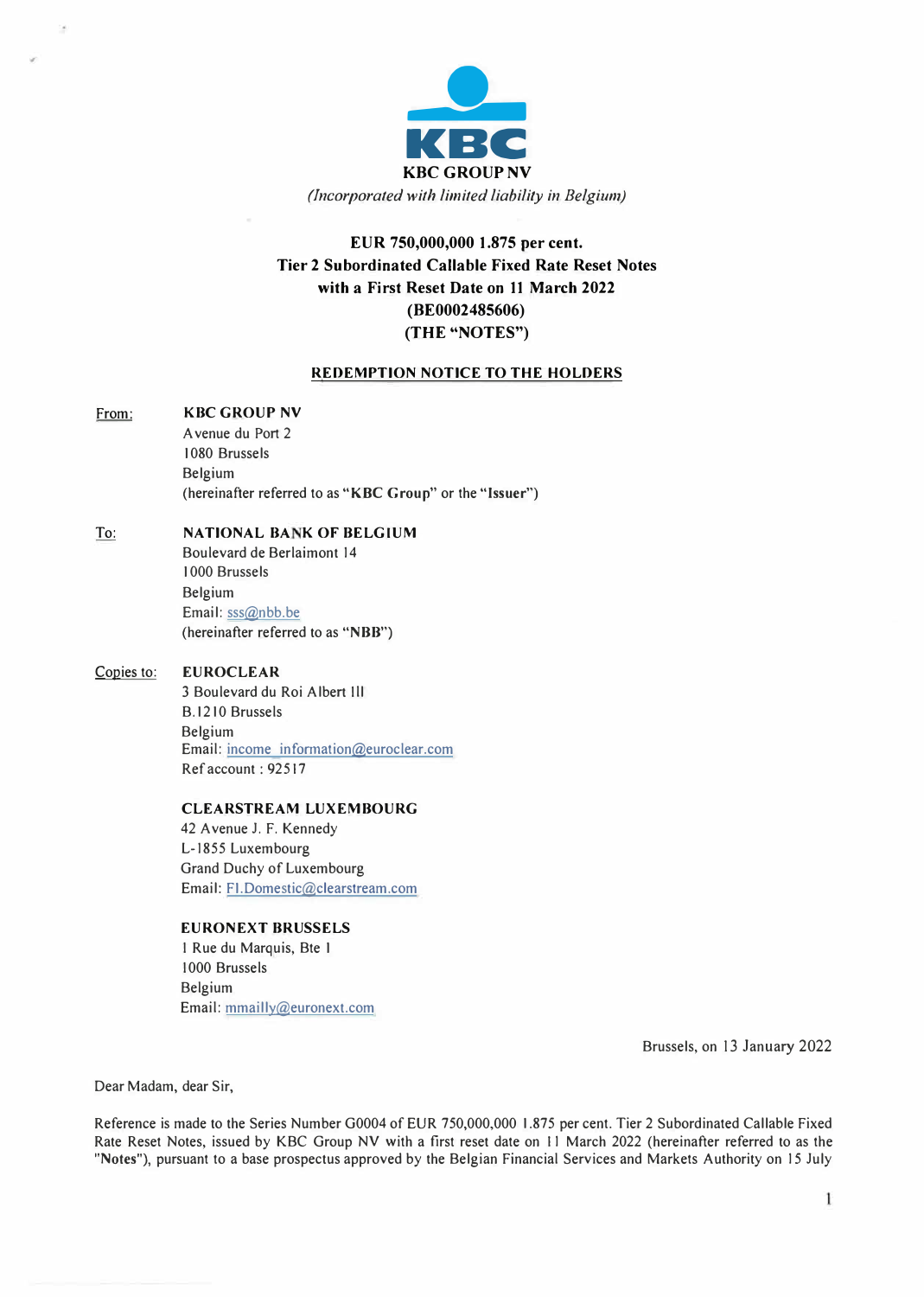

# **EUR 750,000,000 1.875 per cent. Tier 2 Subordinated Callable Fixed Rate Reset Notes with a First Reset Date** on **11 March 2022 (BE0002485606) (THE "NOTES")**

# **REDEMPTION NOTICE TO THE HOLDERS**

# From: **KBC GROUP NV**

A venue du Port 2 I 080 Brussels Belgium (hereinafter referred to as **"KBC Group"** or the **"Issuer")** 

# To: **NATIONAL BANK OF BELGIUM**

Boulevard de Berlaimont 14 I 000 Brussels Belgium Email: sss@nbb.be (hereinafter referred to as **"NBB")** 

# Copies to: **EUROCLEAR**

3 Boulevard du Roi Albert Ill B.1210 Brussels Belgium Email: income inforrnation@euroclear.com Ref account: 92517

# **CLEARSTREAM LUXEMBOURG**

42 Avenue J. F. Kennedy L-1855 Luxembourg Grand Duchy of Luxembourg Email: FI.Domestic@clearstream.com

#### **EURONEXT BRUSSELS**

I Rue du Marquis, Bte I I 000 Brussels Belgium Email: mmailly@euronext.com

Brussels, on 13 January 2022

Dear Madam, dear Sir,

Reference is made to the Series Number G0004 of EUR 750,000,000 1.875 per cent. Tier 2 Subordinated Callable Fixed Rate Reset Notes, issued by KBC Group NV with a first reset date on 11 March 2022 (hereinafter referred to as the **"Notes"),** pursuant to a base prospectus approved by the Belgian Financial Services and Markets Authority on 15 July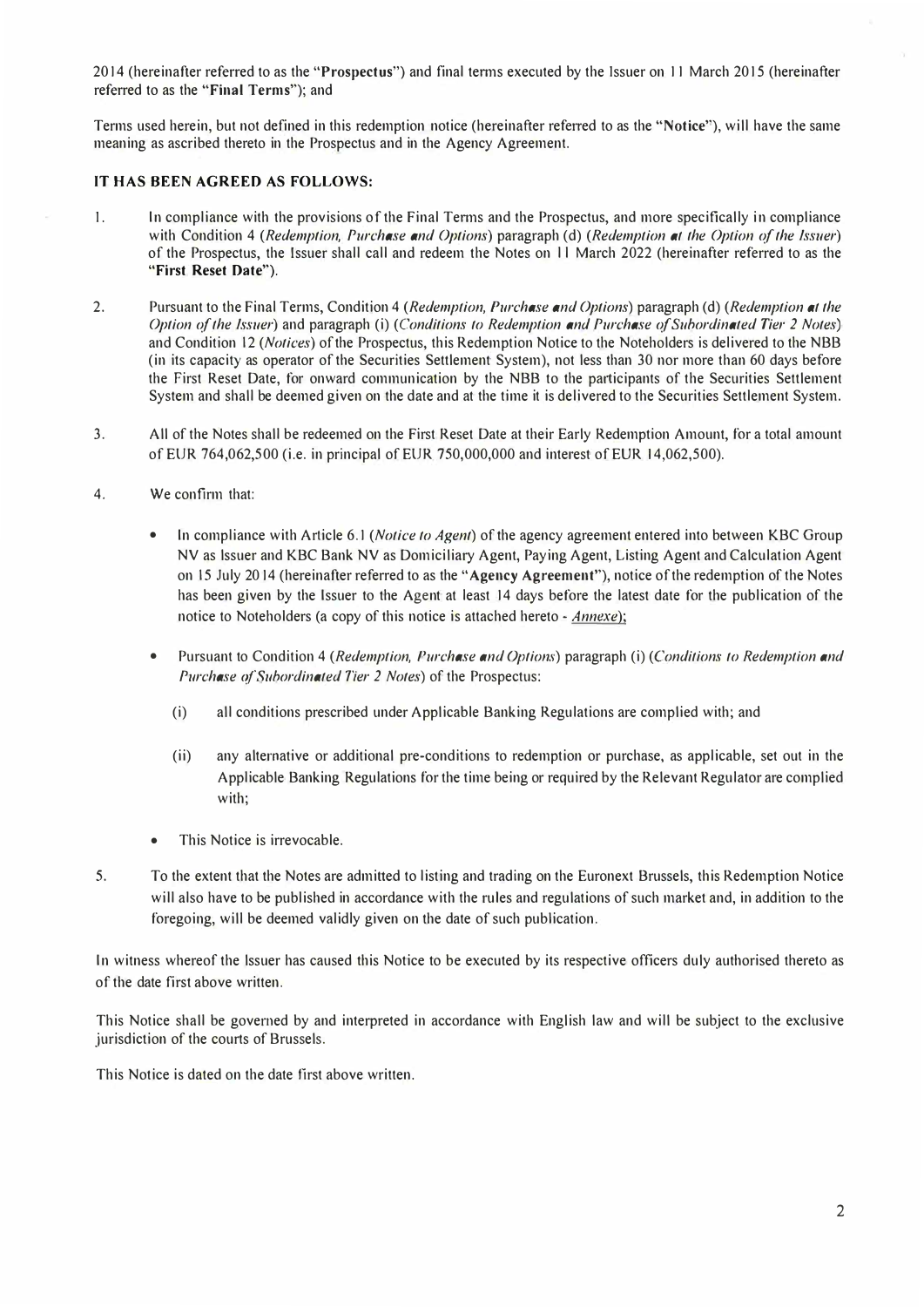2014 (hereinafter referred to as the **"Prospectus")** and final tenns executed by the Issuer on 11 March 2015 (hereinafter referred to as the **"Final Terms");** and

Terms used herein, but not defined in this redemption notice (hereinafter referred to as the "Notice"), will have the same meaning as ascribed thereto in the Prospectus and in the Agency Agreement.

# **IT HAS BEEN AGREED AS FOLLOWS:**

- I. In compliance with the provisions of the Final Tenns and the Prospectus, and more specifically in compliance with Condition 4 *(Redemption, Purchase and Options)* paragraph (d) *(Redemption at the Option of the Issuer)* of the Prospectus, the lssuer shall call and redeem the Notes on l l March 2022 (hereinafter referred to as the **"First Reset Date").**
- 2. Pursuant to the Final Terms, Condition 4 *(Redemption, Purchase and Options)* paragraph (d) *(Redemption at the Option of the Issuer)* and paragraph (i) *(Conditions to Redemption and Purchase of Subordinated Tier 2 Notes)* and Condition 12 *(Notices)* of the Prospectus, this Redemption Notice to the Noteholders is delivered to the NBB (in its capacity as operator of the Securities Settlement System), not less than 30 nor more than 60 days before the First Reset Date, for onward communication by the NBB to the participants of the Securities Settlement System and shall be deemed given on the date and at the time it is delivered to the Securities Settlement System.
- 3. All of the Notes shall be redeemed on the First Reset Date at their Early Redemption Amount, for a total amount of EUR 764,062,500 (i.e. in principal of EUR 750,000,000 and interest of EUR 14,062,500).
- 4. We confirm that:
	- In compliance with Article 6.1 *(Notice to Agent)* of the agency agreement entered into between KBC Group NV as lssuer and KBC Bank NV as Domiciliary Agent, Paying Agent, Listing Agent and Calculation Agent on 15 July 2014 (hereinafter referred to as the **"Agency Agreement"),** notice of the redemption of the Notes has been given by the Issuer to the Agent at least 14 days before the latest date for the publication of the notice to Noteholders (a copy of this notice is attached hereto - *Annexe);*
	- Pursuant to Condition 4 *(Redemption, Purchase and Options)* paragraph (i) *(Conditions to Redemption and Purchase o.f Subordinated Tier 2 Notes)* of the Prospectus:
		- (i) all conditions prescribed under Applicable Banking Regulations are complied with; and
		- (ii) any alternative or additional pre-conditions to redemption or purchase, as applicable, set out in the Applicable Banking Regulations for the time being or required by the Relevant Regulator are complied with;
	- This Notice is irrevocable.
- 5. To the extent that the Notes are admitted to listing and trading on the Euronext Brussels, this Redemption Notice will also have to be published in accordance with the rules and regulations of such market and, in addition to the foregoing, will be deemed validly given on the date of such publication.

In witness whereof the lssuer has caused this Notice to be executed by its respective officers duly authorised thereto as of the date first above written.

This Notice shall be governed by and interpreted in accordance with English law and will be subject to the exclusive jurisdiction of the courts of Brussels.

This Notice is dated on the date first above written.